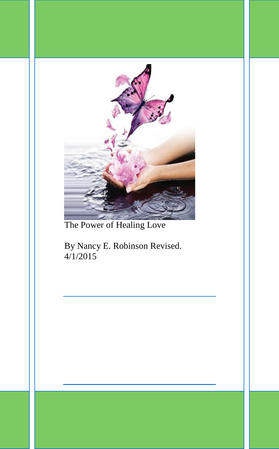

The Power of Healing Love

By Nancy E. Robinson Revised. 4/1/2015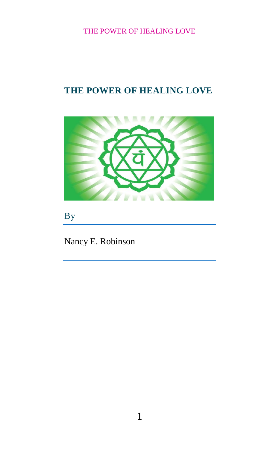# **THE POWER OF HEALING LOVE**



By

Nancy E. Robinson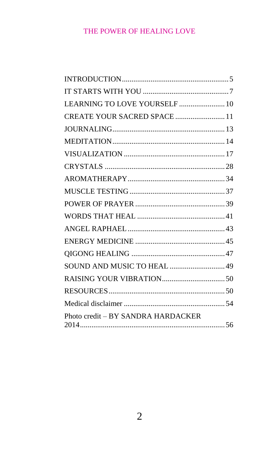| LEARNING TO LOVE YOURSELF  10      |  |
|------------------------------------|--|
| CREATE YOUR SACRED SPACE  11       |  |
|                                    |  |
|                                    |  |
|                                    |  |
|                                    |  |
|                                    |  |
|                                    |  |
|                                    |  |
|                                    |  |
|                                    |  |
|                                    |  |
|                                    |  |
| SOUND AND MUSIC TO HEAL  49        |  |
|                                    |  |
|                                    |  |
|                                    |  |
| Photo credit - BY SANDRA HARDACKER |  |
|                                    |  |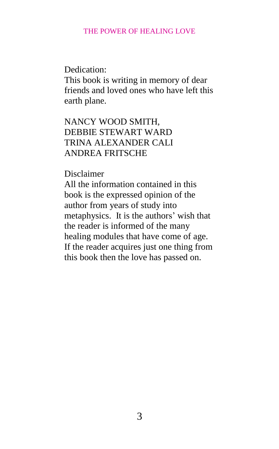Dedication:

This book is writing in memory of dear friends and loved ones who have left this earth plane.

NANCY WOOD SMITH, DEBBIE STEWART WARD TRINA ALEXANDER CALI ANDREA FRITSCHE

Disclaimer

All the information contained in this book is the expressed opinion of the author from years of study into metaphysics. It is the authors' wish that the reader is informed of the many healing modules that have come of age. If the reader acquires just one thing from this book then the love has passed on.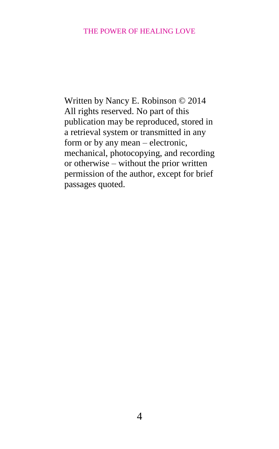Written by Nancy E. Robinson © 2014 All rights reserved. No part of this publication may be reproduced, stored in a retrieval system or transmitted in any form or by any mean – electronic, mechanical, photocopying, and recording or otherwise – without the prior written permission of the author, except for brief passages quoted.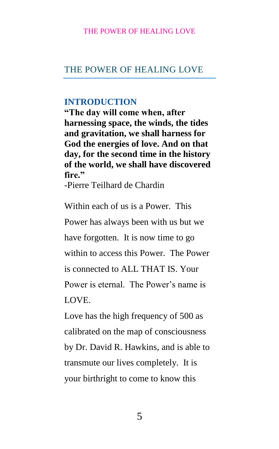## THE POWER OF HEALING LOVE

## <span id="page-5-0"></span>**INTRODUCTION**

**"The day will come when, after harnessing space, the winds, the tides and gravitation, we shall harness for God the energies of love. And on that day, for the second time in the history of the world, we shall have discovered fire."**

-Pierre Teilhard de Chardin

Within each of us is a Power. This Power has always been with us but we have forgotten. It is now time to go within to access this Power. The Power is connected to ALL THAT IS. Your Power is eternal. The Power's name is LOVE.

Love has the high frequency of 500 as calibrated on the map of consciousness by Dr. David R. Hawkins, and is able to transmute our lives completely. It is your birthright to come to know this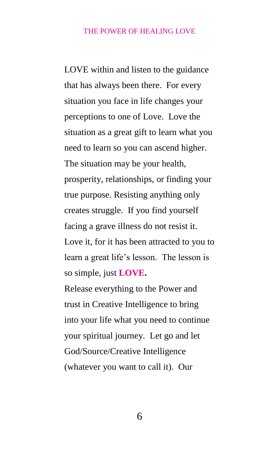LOVE within and listen to the guidance that has always been there. For every situation you face in life changes your perceptions to one of Love. Love the situation as a great gift to learn what you need to learn so you can ascend higher. The situation may be your health, prosperity, relationships, or finding your true purpose. Resisting anything only creates struggle. If you find yourself facing a grave illness do not resist it. Love it, for it has been attracted to you to learn a great life's lesson. The lesson is so simple, just **LOVE.** Release everything to the Power and trust in Creative Intelligence to bring into your life what you need to continue your spiritual journey. Let go and let God/Source/Creative Intelligence (whatever you want to call it). Our

6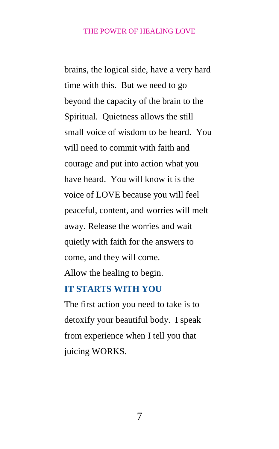brains, the logical side, have a very hard time with this. But we need to go beyond the capacity of the brain to the Spiritual. Quietness allows the still small voice of wisdom to be heard. You will need to commit with faith and courage and put into action what you have heard. You will know it is the voice of LOVE because you will feel peaceful, content, and worries will melt away. Release the worries and wait quietly with faith for the answers to come, and they will come.

Allow the healing to begin.

# <span id="page-7-0"></span>**IT STARTS WITH YOU**

The first action you need to take is to detoxify your beautiful body. I speak from experience when I tell you that juicing WORKS.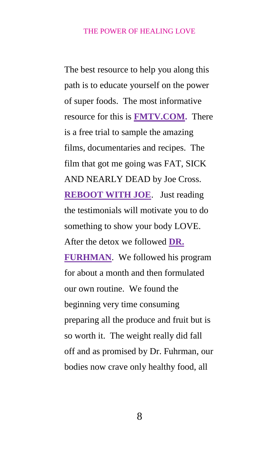The best resource to help you along this path is to educate yourself on the power of super foods. The most informative resource for this is **[FMTV.COM.](http://www.fmtv.com/)** There is a free trial to sample the amazing films, documentaries and recipes. The film that got me going was FAT, SICK AND NEARLY DEAD by Joe Cross. **[REBOOT WITH JOE](http://www.rebootwithjoe.com/)**. Just reading the testimonials will motivate you to do something to show your body LOVE. After the detox we followed **[DR.](file:///C:/Users/Nancy/Documents/POWER%20OF%20HEALING%20LOVE/a%20href=%22http:/click.linksynergy.com/fs-bin/click%3fid=wZUA40mrVfc&offerid=254134&type=3&subid=0%22%3eDr.%20Fuhrman%3c/a%3e%3cIMG%20border=0%20width=1%20height=1%20src=%22http:/ad.linksynergy.com/fs-bin/show%3fid=wZUA40mrVfc&bids=254134&type=3&subid=0%22)  [FURHMAN](file:///C:/Users/Nancy/Documents/POWER%20OF%20HEALING%20LOVE/a%20href=%22http:/click.linksynergy.com/fs-bin/click%3fid=wZUA40mrVfc&offerid=254134&type=3&subid=0%22%3eDr.%20Fuhrman%3c/a%3e%3cIMG%20border=0%20width=1%20height=1%20src=%22http:/ad.linksynergy.com/fs-bin/show%3fid=wZUA40mrVfc&bids=254134&type=3&subid=0%22)**. We followed his program for about a month and then formulated our own routine. We found the beginning very time consuming preparing all the produce and fruit but is so worth it. The weight really did fall off and as promised by Dr. Fuhrman, our bodies now crave only healthy food, all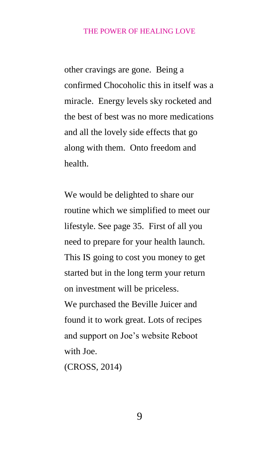other cravings are gone. Being a confirmed Chocoholic this in itself was a miracle. Energy levels sky rocketed and the best of best was no more medications and all the lovely side effects that go along with them. Onto freedom and health.

We would be delighted to share our routine which we simplified to meet our lifestyle. See page 35. First of all you need to prepare for your health launch. This IS going to cost you money to get started but in the long term your return on investment will be priceless. We purchased the Beville Juicer and found it to work great. Lots of recipes and support on Joe's website Reboot

with Joe.

(CROSS, 2014)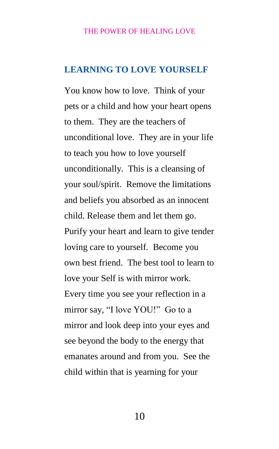## <span id="page-10-0"></span>**LEARNING TO LOVE YOURSELF**

You know how to love. Think of your pets or a child and how your heart opens to them. They are the teachers of unconditional love. They are in your life to teach you how to love yourself unconditionally. This is a cleansing of your soul/spirit. Remove the limitations and beliefs you absorbed as an innocent child. Release them and let them go. Purify your heart and learn to give tender loving care to yourself. Become you own best friend. The best tool to learn to love your Self is with mirror work. Every time you see your reflection in a mirror say, "I love YOU!" Go to a mirror and look deep into your eyes and see beyond the body to the energy that emanates around and from you. See the child within that is yearning for your

10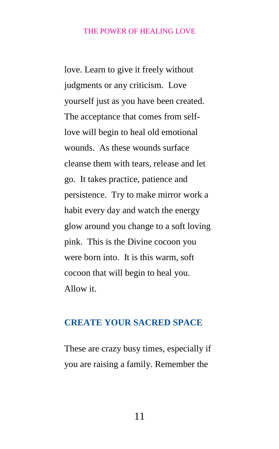love. Learn to give it freely without judgments or any criticism. Love yourself just as you have been created. The acceptance that comes from selflove will begin to heal old emotional wounds. As these wounds surface cleanse them with tears, release and let go. It takes practice, patience and persistence. Try to make mirror work a habit every day and watch the energy glow around you change to a soft loving pink. This is the Divine cocoon you were born into. It is this warm, soft cocoon that will begin to heal you. Allow it.

## <span id="page-11-0"></span>**CREATE YOUR SACRED SPACE**

These are crazy busy times, especially if you are raising a family. Remember the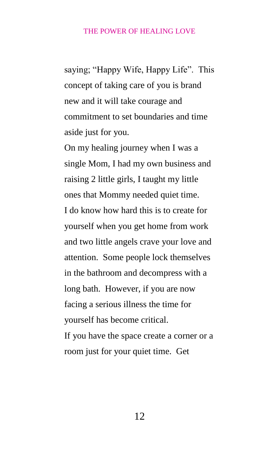saying; "Happy Wife, Happy Life". This concept of taking care of you is brand new and it will take courage and commitment to set boundaries and time aside just for you.

On my healing journey when I was a single Mom, I had my own business and raising 2 little girls, I taught my little ones that Mommy needed quiet time. I do know how hard this is to create for yourself when you get home from work and two little angels crave your love and attention. Some people lock themselves in the bathroom and decompress with a long bath. However, if you are now facing a serious illness the time for yourself has become critical. If you have the space create a corner or a room just for your quiet time. Get

12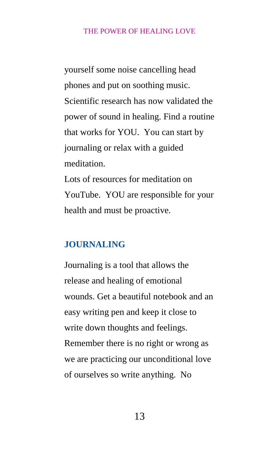yourself some noise cancelling head phones and put on soothing music. Scientific research has now validated the power of sound in healing. Find a routine that works for YOU. You can start by journaling or relax with a guided meditation. Lots of resources for meditation on YouTube. YOU are responsible for your

<span id="page-13-0"></span>health and must be proactive.

## **JOURNALING**

Journaling is a tool that allows the release and healing of emotional wounds. Get a beautiful notebook and an easy writing pen and keep it close to write down thoughts and feelings. Remember there is no right or wrong as we are practicing our unconditional love of ourselves so write anything. No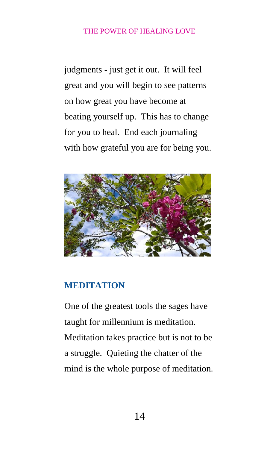judgments - just get it out. It will feel great and you will begin to see patterns on how great you have become at beating yourself up. This has to change for you to heal. End each journaling with how grateful you are for being you.



## <span id="page-14-0"></span>**MEDITATION**

One of the greatest tools the sages have taught for millennium is meditation. Meditation takes practice but is not to be a struggle. Quieting the chatter of the mind is the whole purpose of meditation.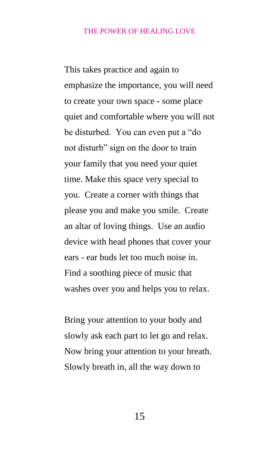This takes practice and again to emphasize the importance, you will need to create your own space - some place quiet and comfortable where you will not be disturbed. You can even put a "do not disturb" sign on the door to train your family that you need your quiet time. Make this space very special to you. Create a corner with things that please you and make you smile. Create an altar of loving things. Use an audio device with head phones that cover your ears - ear buds let too much noise in. Find a soothing piece of music that washes over you and helps you to relax.

Bring your attention to your body and slowly ask each part to let go and relax. Now bring your attention to your breath. Slowly breath in, all the way down to

15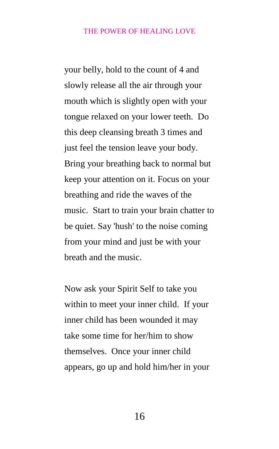your belly, hold to the count of 4 and slowly release all the air through your mouth which is slightly open with your tongue relaxed on your lower teeth. Do this deep cleansing breath 3 times and just feel the tension leave your body. Bring your breathing back to normal but keep your attention on it. Focus on your breathing and ride the waves of the music. Start to train your brain chatter to be quiet. Say 'hush' to the noise coming from your mind and just be with your breath and the music.

Now ask your Spirit Self to take you within to meet your inner child. If your inner child has been wounded it may take some time for her/him to show themselves. Once your inner child appears, go up and hold him/her in your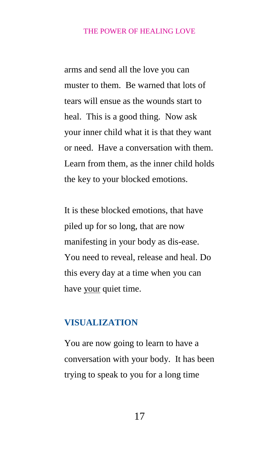arms and send all the love you can muster to them. Be warned that lots of tears will ensue as the wounds start to heal. This is a good thing. Now ask your inner child what it is that they want or need. Have a conversation with them. Learn from them, as the inner child holds the key to your blocked emotions.

It is these blocked emotions, that have piled up for so long, that are now manifesting in your body as dis-ease. You need to reveal, release and heal. Do this every day at a time when you can have your quiet time.

## <span id="page-17-0"></span>**VISUALIZATION**

You are now going to learn to have a conversation with your body. It has been trying to speak to you for a long time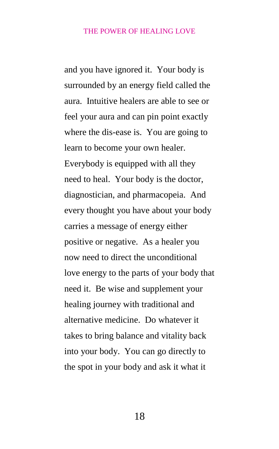and you have ignored it. Your body is surrounded by an energy field called the aura. Intuitive healers are able to see or feel your aura and can pin point exactly where the dis-ease is. You are going to learn to become your own healer. Everybody is equipped with all they need to heal. Your body is the doctor, diagnostician, and pharmacopeia. And every thought you have about your body carries a message of energy either positive or negative. As a healer you now need to direct the unconditional love energy to the parts of your body that need it. Be wise and supplement your healing journey with traditional and alternative medicine. Do whatever it takes to bring balance and vitality back into your body. You can go directly to the spot in your body and ask it what it

18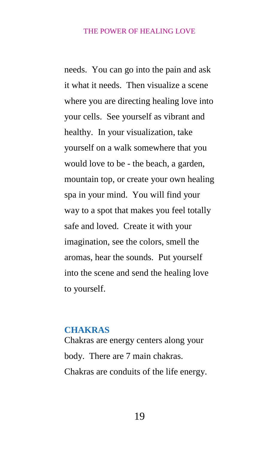needs. You can go into the pain and ask it what it needs. Then visualize a scene where you are directing healing love into your cells. See yourself as vibrant and healthy. In your visualization, take yourself on a walk somewhere that you would love to be - the beach, a garden, mountain top, or create your own healing spa in your mind. You will find your way to a spot that makes you feel totally safe and loved. Create it with your imagination, see the colors, smell the aromas, hear the sounds. Put yourself into the scene and send the healing love to yourself.

## **CHAKRAS**

Chakras are energy centers along your body. There are 7 main chakras. Chakras are conduits of the life energy.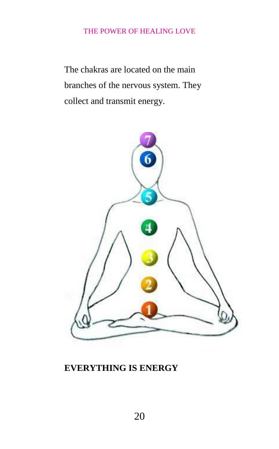The chakras are located on the main branches of the nervous system. They collect and transmit energy.



# **EVERYTHING IS ENERGY**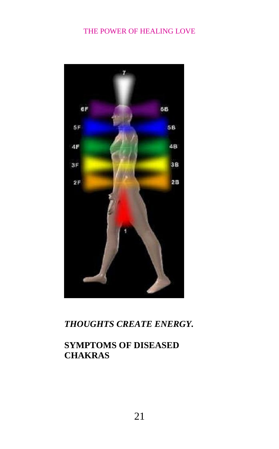

*THOUGHTS CREATE ENERGY.*

# **SYMPTOMS OF DISEASED CHAKRAS**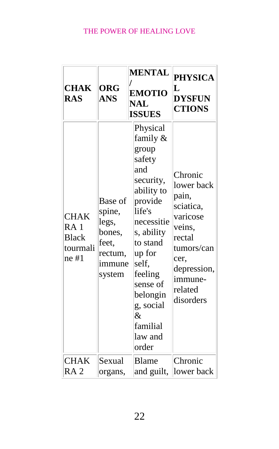| <b>CHAK</b><br><b>RAS</b>                                             | <b>ORG</b><br><b>ANS</b>                                                     | <b>MENTAL</b><br><b>EMOTIO</b><br><b>NAL</b><br><b>ISSUES</b>                                                                                                                                                                                     | <b>PHYSICA</b><br>L<br><b>DYSFUN</b><br><b>CTIONS</b>                                                                                               |
|-----------------------------------------------------------------------|------------------------------------------------------------------------------|---------------------------------------------------------------------------------------------------------------------------------------------------------------------------------------------------------------------------------------------------|-----------------------------------------------------------------------------------------------------------------------------------------------------|
| <b>CHAK</b><br>RA <sub>1</sub><br><b>Black</b><br>tourmali<br>$ne$ #1 | Base of<br>spine,<br>legs,<br>bones,<br>feet,<br>rectum,<br>immune<br>system | Physical<br>family &<br>group<br>safety<br>and<br>security,<br>ability to<br>provide<br>life's<br>necessitie<br>s, ability<br>to stand<br>up for<br>self,<br>feeling<br>sense of<br>belongin<br>g, social<br>$\&$<br>familial<br>law and<br>order | Chronic<br>lower back<br>pain,<br>sciatica,<br>varicose<br>veins,<br>rectal<br>tumors/can<br>cer.<br>depression,<br>immune-<br>related<br>disorders |
| <b>CHAK</b><br>RA <sub>2</sub>                                        | Sexual<br>organs,                                                            | <b>Blame</b><br>and guilt,                                                                                                                                                                                                                        | Chronic<br>lower back                                                                                                                               |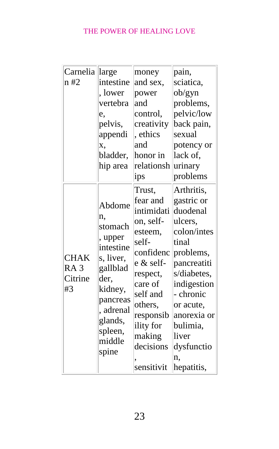| Carnelia        | large                                           | money      | pain,       |
|-----------------|-------------------------------------------------|------------|-------------|
| n #2            | intestine                                       | and sex,   | sciatica,   |
|                 | , lower                                         | power      | ob/gyn      |
|                 | vertebra                                        | and        | problems,   |
|                 | e,                                              | control,   | pelvic/low  |
|                 | pelvis,                                         | creativity | back pain,  |
|                 | appendi                                         | , ethics   | sexual      |
|                 | X,                                              | and        | potency or  |
|                 | bladder,                                        | honor in   | lack of,    |
|                 | hip area                                        | relationsh | urinary     |
|                 |                                                 | ips        | problems    |
|                 |                                                 | Trust,     | Arthritis,  |
|                 | Abdome<br>n.<br>stomach<br>, upper<br>intestine | fear and   | gastric or  |
|                 |                                                 | intimidati | duodenal    |
|                 |                                                 | on, self-  | ulcers,     |
|                 |                                                 | esteem,    | colon/intes |
|                 |                                                 | self-      | tinal       |
| <b>CHAK</b>     | s, liver,                                       | confidenc  | problems,   |
| RA <sub>3</sub> | gallblad                                        | e & self-  | pancreatiti |
| Citrine         | der,                                            | respect,   | s/diabetes, |
| #3              | kidney,                                         | care of    | indigestion |
|                 | pancreas                                        | self and   | - chronic   |
|                 | , adrenal                                       | others,    | or acute,   |
|                 | glands,                                         | responsib  | anorexia or |
|                 | spleen,<br>middle                               | ility for  | bulimia,    |
|                 |                                                 | making     | liver       |
|                 | spine                                           | decisions  | dysfunctio  |
|                 |                                                 |            | n.          |
|                 |                                                 | sensitivit | hepatitis,  |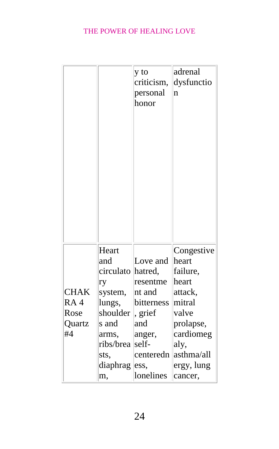|             |           | y to<br>criticism,<br>personal<br>honor | adrenal<br>dysfunctio<br>n |
|-------------|-----------|-----------------------------------------|----------------------------|
|             | Heart     |                                         | Congestive                 |
|             | and       | Love and                                | heart                      |
|             | circulato | hatred,                                 | failure,                   |
|             | ry        | resentme                                | heart                      |
| <b>CHAK</b> | system,   | nt and                                  | attack,                    |
| RA4         | lungs,    | bitterness                              | mitral                     |
| Rose        | shoulder  | , grief                                 | valve                      |
| Quartz      | s and     | and                                     | prolapse,                  |
| #4          | arms,     | anger,                                  | cardiomeg                  |
|             | ribs/brea | self-                                   | aly,                       |
|             | sts,      | centeredn                               | asthma/all                 |
|             | diaphrag  | ess,                                    | ergy, lung                 |
|             | m,        | lonelines                               | cancer,                    |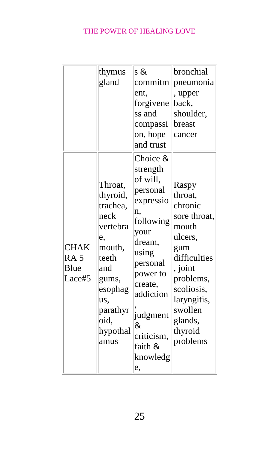|                                                  | thymus<br>gland                                                                                                                                        | s $\&$<br>commitm<br>ent,<br>forgivene<br>ss and<br>compassi<br>on, hope<br>and trust                                                                                                                                  | bronchial<br>pneumonia<br>, upper<br>back,<br>shoulder,<br>breast<br>cancer                                                                                                              |
|--------------------------------------------------|--------------------------------------------------------------------------------------------------------------------------------------------------------|------------------------------------------------------------------------------------------------------------------------------------------------------------------------------------------------------------------------|------------------------------------------------------------------------------------------------------------------------------------------------------------------------------------------|
| <b>CHAK</b><br>RA <sub>5</sub><br>Blue<br>Lace#5 | Throat,<br>thyroid,<br>trachea,<br>neck<br>vertebra<br>e,<br>mouth,<br>teeth<br>and<br>gums,<br>esophag<br>us,<br>parathyr<br>oid,<br>hypothal<br>amus | Choice &<br>strength<br>of will,<br>personal<br>expressio<br>n,<br>following<br>your<br>dream,<br>using<br>personal<br>power to<br>create,<br>addiction<br>judgment<br>$\&$<br>criticism.<br>faith &<br>knowledg<br>e, | Raspy<br>throat,<br>chronic<br>sore throat,<br>mouth<br>ulcers,<br>gum<br>difficulties<br>, joint<br>problems,<br>scoliosis,<br>laryngitis,<br>swollen<br>glands,<br>thyroid<br>problems |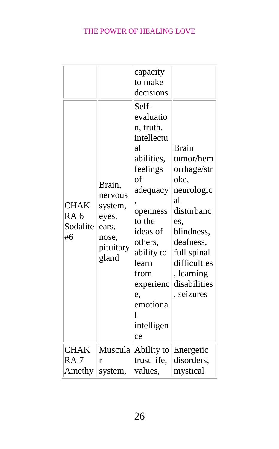| <b>CHAK</b><br>RA <sub>6</sub><br>Sodalite<br>#6 | Brain,<br>nervous<br>system,<br>eyes,<br>ears,<br>nose,<br>pituitary<br>gland | capacity<br>to make<br>decisions<br>Self-<br>evaluatio<br>n, truth,<br>intellectu<br>al<br>abilities,<br>feelings<br>of<br>adequacy<br>openness<br>to the<br>ideas of<br>others,<br>ability to<br>learn<br>from<br>experienc<br>e,<br>emotiona<br>1<br>intelligen | <b>Brain</b><br>tumor/hem<br>orrhage/str<br>oke.<br>neurologic<br>al<br>disturbanc<br>es,<br>blindness,<br>deafness,<br>full spinal<br>difficulties<br>, learning<br>disabilities<br>seizures |
|--------------------------------------------------|-------------------------------------------------------------------------------|-------------------------------------------------------------------------------------------------------------------------------------------------------------------------------------------------------------------------------------------------------------------|-----------------------------------------------------------------------------------------------------------------------------------------------------------------------------------------------|
|                                                  |                                                                               | ce                                                                                                                                                                                                                                                                |                                                                                                                                                                                               |
| <b>CHAK</b><br>RA <sub>7</sub><br>Amethy         | Muscula<br>r<br>system,                                                       | Ability to<br>trust life,<br>values,                                                                                                                                                                                                                              | Energetic<br>disorders,<br>mystical                                                                                                                                                           |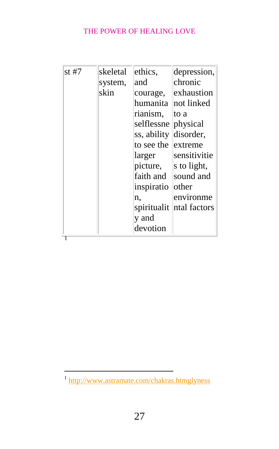| st #7 | skeletal | ethics,     | depression,  |
|-------|----------|-------------|--------------|
|       | system,  | and         | chronic      |
|       | skin     | courage,    | exhaustion   |
|       |          | humanita    | not linked   |
|       |          | rianism,    | to a         |
|       |          | selflessne  | physical     |
|       |          | ss, ability | disorder,    |
|       |          | to see the  | extreme      |
|       |          | larger      | sensitivitie |
|       |          | picture,    | s to light,  |
|       |          | faith and   | sound and    |
|       |          | inspiratio  | other        |
|       |          | n.          | environme    |
|       |          | spiritualit | ntal factors |
|       |          | y and       |              |
|       |          | devotion    |              |
|       |          |             |              |

<sup>1&</sup>lt;br><sup>1</sup> <http://www.astramate.com/chakras.htmglyness>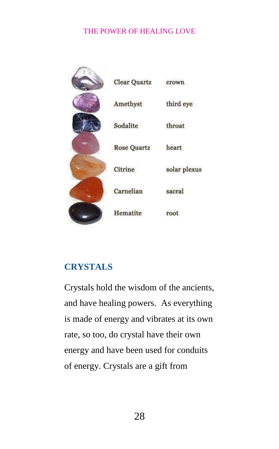| <b>Clear Quartz</b> | crown        |
|---------------------|--------------|
| Amethyst            | third eye    |
| Sodalite            | throat       |
| <b>Rose Quartz</b>  | heart        |
| Citrine             | solar plexus |
| Carnelian           | sacral       |
| Hematite            | root         |

# <span id="page-28-0"></span>**CRYSTALS**

Crystals hold the wisdom of the ancients, and have healing powers. As everything is made of energy and vibrates at its own rate, so too, do crystal have their own energy and have been used for conduits of energy. Crystals are a gift from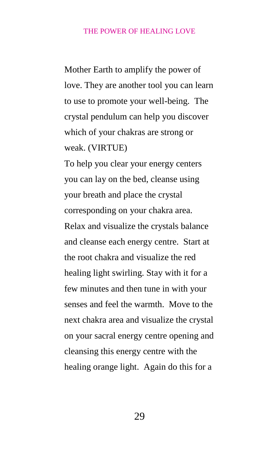Mother Earth to amplify the power of love. They are another tool you can learn to use to promote your well-being. The crystal pendulum can help you discover which of your chakras are strong or weak. (VIRTUE)

To help you clear your energy centers you can lay on the bed, cleanse using your breath and place the crystal corresponding on your chakra area. Relax and visualize the crystals balance and cleanse each energy centre. Start at the root chakra and visualize the red healing light swirling. Stay with it for a few minutes and then tune in with your senses and feel the warmth. Move to the next chakra area and visualize the crystal on your sacral energy centre opening and cleansing this energy centre with the healing orange light. Again do this for a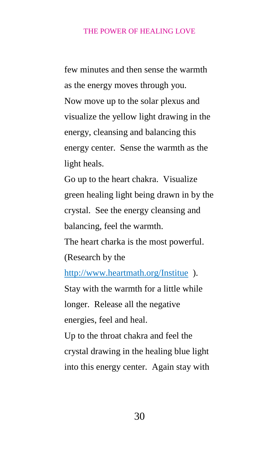few minutes and then sense the warmth as the energy moves through you. Now move up to the solar plexus and visualize the yellow light drawing in the energy, cleansing and balancing this energy center. Sense the warmth as the light heals.

Go up to the heart chakra. Visualize green healing light being drawn in by the crystal. See the energy cleansing and balancing, feel the warmth.

The heart charka is the most powerful. (Research by the

<http://www.heartmath.org/Institue>). Stay with the warmth for a little while longer. Release all the negative energies, feel and heal.

Up to the throat chakra and feel the crystal drawing in the healing blue light into this energy center. Again stay with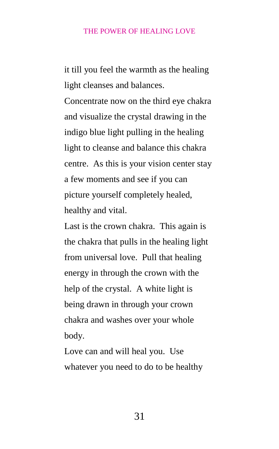it till you feel the warmth as the healing light cleanses and balances.

Concentrate now on the third eye chakra and visualize the crystal drawing in the indigo blue light pulling in the healing light to cleanse and balance this chakra centre. As this is your vision center stay a few moments and see if you can picture yourself completely healed, healthy and vital.

Last is the crown chakra. This again is the chakra that pulls in the healing light from universal love. Pull that healing energy in through the crown with the help of the crystal. A white light is being drawn in through your crown chakra and washes over your whole body.

Love can and will heal you. Use whatever you need to do to be healthy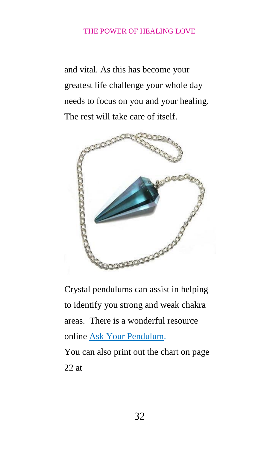and vital. As this has become your greatest life challenge your whole day needs to focus on you and your healing. The rest will take care of itself.



Crystal pendulums can assist in helping to identify you strong and weak chakra areas. There is a wonderful resource online [Ask Your Pendulum.](http://www.askyourpendulum.com/How_to.asp) You can also print out the chart on page 22 at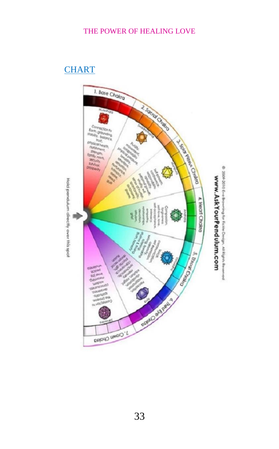# **[CHART](http://www.askyourpendulum.com/Downloads/Fickle%20Design%20Chakra%20Pendulum%20Chart.pdf)**

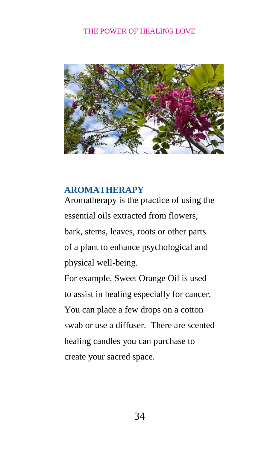

## <span id="page-34-0"></span>**[AROMATHERAPY](http://www.kiaroma.ca/default.asp)**

Aromatherapy is the practice of using the essential oils extracted from flowers, bark, stems, leaves, roots or other parts of a plant to enhance psychological and physical well-being.

For example, Sweet Orange Oil is used to assist in healing especially for cancer. You can place a few drops on a cotton swab or use a diffuser. There are scented healing candles you can purchase to create your sacred space.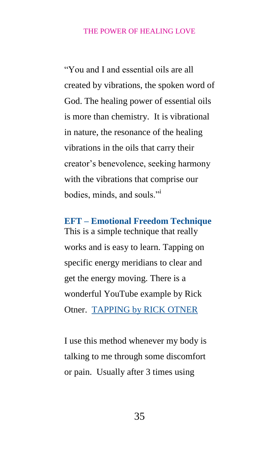"You and I and essential oils are all created by vibrations, the spoken word of God. The healing power of essential oils is more than chemistry. It is vibrational in nature, the resonance of the healing vibrations in the oils that carry their creator's benevolence, seeking harmony with the vibrations that comprise our bodies, minds, and souls."<sup>i</sup>

**EFT – Emotional Freedom Technique**  This is a simple technique that really works and is easy to learn. Tapping on specific energy meridians to clear and get the energy moving. There is a wonderful YouTube example by Rick Otner. [TAPPING by RICK OTNER](https://www.youtube.com/watch?v=Tj_qSyfP2lQ)

I use this method whenever my body is talking to me through some discomfort or pain. Usually after 3 times using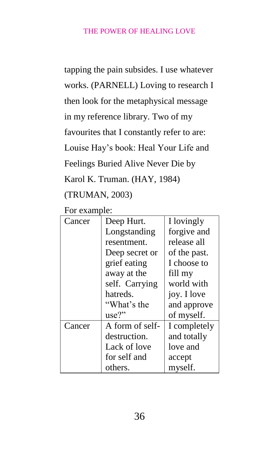tapping the pain subsides. I use whatever works. (PARNELL) Loving to research I then look for the metaphysical message in my reference library. Two of my favourites that I constantly refer to are: Louise Hay's book: Heal Your Life and Feelings Buried Alive Never Die by Karol K. Truman. (HAY, 1984) (TRUMAN, 2003)

For example:

| $V1 V2 W1 V1 V2$ |                 |              |  |
|------------------|-----------------|--------------|--|
| Cancer           | Deep Hurt.      | I lovingly   |  |
|                  | Longstanding    | forgive and  |  |
|                  | resentment.     | release all  |  |
|                  | Deep secret or  | of the past. |  |
|                  | grief eating    | I choose to  |  |
|                  | away at the     | fill my      |  |
|                  | self. Carrying  | world with   |  |
|                  | hatreds.        | joy. I love  |  |
|                  | "What's the     | and approve  |  |
|                  | use?"           | of myself.   |  |
| Cancer           | A form of self- | I completely |  |
|                  | destruction.    | and totally  |  |
|                  | Lack of love    | love and     |  |
|                  | for self and    | accept       |  |
|                  | others.         | myself.      |  |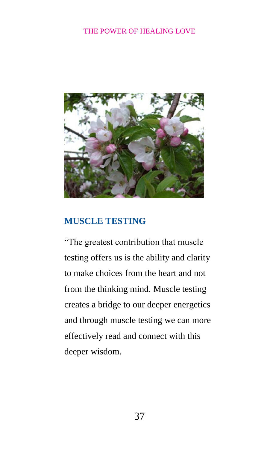

## <span id="page-37-0"></span>**MUSCLE TESTING**

"The greatest contribution that muscle testing offers us is the ability and clarity to make choices from the heart and not from the thinking mind. Muscle testing creates a bridge to our deeper energetics and through muscle testing we can more effectively read and connect with this deeper wisdom.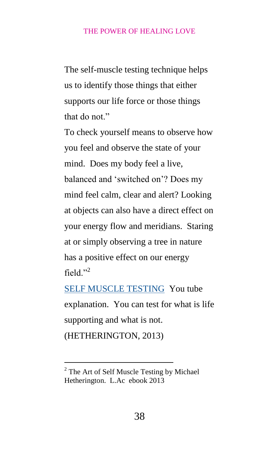The self-muscle testing technique helps us to identify those things that either supports our life force or those things that do not."

To check yourself means to observe how you feel and observe the state of your mind. Does my body feel a live, balanced and 'switched on'? Does my mind feel calm, clear and alert? Looking at objects can also have a direct effect on your energy flow and meridians. Staring at or simply observing a tree in nature has a positive effect on our energy field $"$ <sup>2</sup>

[SELF MUSCLE TESTING](http://youtu.be/xC60tyDpWFs) You tube explanation. You can test for what is life supporting and what is not. (HETHERINGTON, 2013)

-

<sup>&</sup>lt;sup>2</sup> The Art of Self Muscle Testing by Michael Hetherington. L.Ac ebook 2013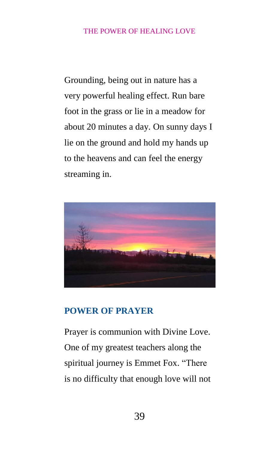Grounding, being out in nature has a very powerful healing effect. Run bare foot in the grass or lie in a meadow for about 20 minutes a day. On sunny days I lie on the ground and hold my hands up to the heavens and can feel the energy streaming in.



## <span id="page-39-0"></span>**POWER OF PRAYER**

Prayer is communion with Divine Love. One of my greatest teachers along the spiritual journey is Emmet Fox. "There is no difficulty that enough love will not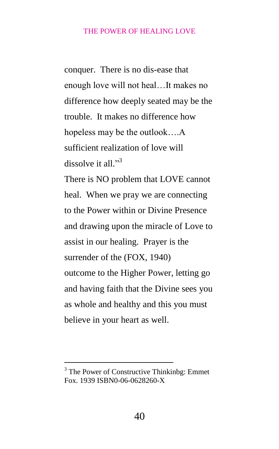conquer. There is no dis-ease that enough love will not heal…It makes no difference how deeply seated may be the trouble. It makes no difference how hopeless may be the outlook….A sufficient realization of love will dissolve it all."<sup>3</sup> There is NO problem that LOVE cannot heal. When we pray we are connecting to the Power within or Divine Presence and drawing upon the miracle of Love to assist in our healing. Prayer is the surrender of the (FOX, 1940) outcome to the Higher Power, letting go and having faith that the Divine sees you as whole and healthy and this you must believe in your heart as well.

-

<sup>&</sup>lt;sup>3</sup> The Power of Constructive Thinkinbg: Emmet Fox. 1939 ISBN0-06-0628260-X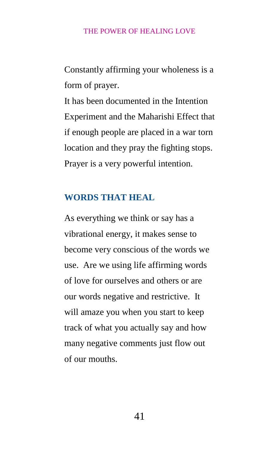Constantly affirming your wholeness is a form of prayer.

It has been documented in the Intention Experiment and the Maharishi Effect that if enough people are placed in a war torn location and they pray the fighting stops. Prayer is a very powerful intention.

## <span id="page-41-0"></span>**WORDS THAT HEAL**

As everything we think or say has a vibrational energy, it makes sense to become very conscious of the words we use. Are we using life affirming words of love for ourselves and others or are our words negative and restrictive. It will amaze you when you start to keep track of what you actually say and how many negative comments just flow out of our mouths.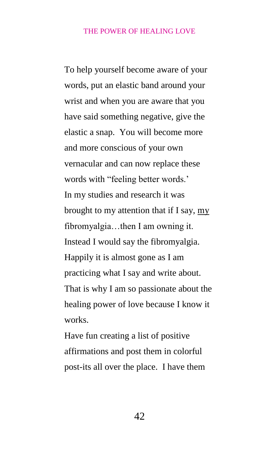To help yourself become aware of your words, put an elastic band around your wrist and when you are aware that you have said something negative, give the elastic a snap. You will become more and more conscious of your own vernacular and can now replace these words with "feeling better words.' In my studies and research it was brought to my attention that if I say, my fibromyalgia…then I am owning it. Instead I would say the fibromyalgia. Happily it is almost gone as I am practicing what I say and write about. That is why I am so passionate about the healing power of love because I know it works.

Have fun creating a list of positive affirmations and post them in colorful post-its all over the place. I have them

42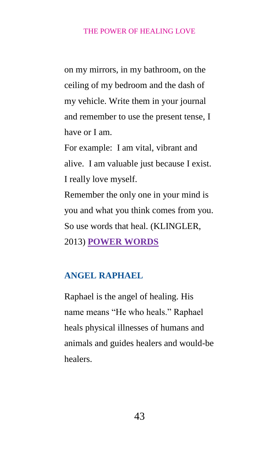on my mirrors, in my bathroom, on the ceiling of my bedroom and the dash of my vehicle. Write them in your journal and remember to use the present tense, I have or I am.

For example: I am vital, vibrant and alive. I am valuable just because I exist. I really love myself.

Remember the only one in your mind is you and what you think comes from you. So use words that heal. (KLINGLER, 2013) **[POWER WORDS](file:///C:/Users/Nancy/Documents/POWER%20OF%20HEALING%20LOVE/a%20href=%22http:/www.amazon.ca/gp/product/1401941796/ref=as_li_qf_sp_asin_tl%3fie=UTF8&camp=15121&creative=330641&creativeASIN=1401941796&linkCode=as2&tag=hc00-20%22%3ePower%20Words:%20Igniting%20Your%20Life%20with%20Lightning%20Force%3c/a%3e%3cimg%20src=%22http:/ir-ca.amazon-adsystem.com/e/ir%3ft=hc00-20&l=as2&o=15&a=1401941796%22%20width=%221%22%20height=%221%22%20border=%220%22%20alt=%22%22%20style=%22border:none%20!important;%20margin:0px%20!important;%22%20/)**

## <span id="page-43-0"></span>**ANGEL RAPHAEL**

Raphael is the angel of healing. His name means "He who heals." Raphael heals physical illnesses of humans and animals and guides healers and would-be healers.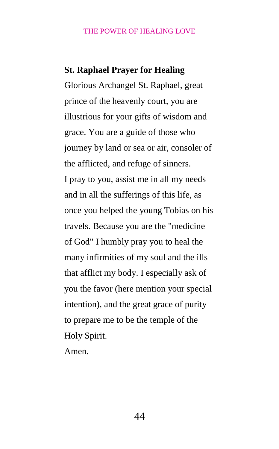## **St. Raphael Prayer for Healing**

Glorious Archangel St. Raphael, great prince of the heavenly court, you are illustrious for your gifts of wisdom and grace. You are a guide of those who journey by land or sea or air, consoler of the afflicted, and refuge of sinners. I pray to you, assist me in all my needs and in all the sufferings of this life, as once you helped the young Tobias on his travels. Because you are the "medicine of God" I humbly pray you to heal the many infirmities of my soul and the ills that afflict my body. I especially ask of you the favor (here mention your special intention), and the great grace of purity to prepare me to be the temple of the Holy Spirit.

Amen.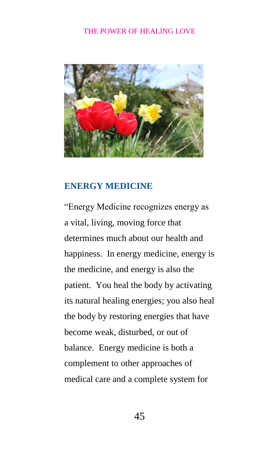

# <span id="page-45-0"></span>**ENERGY MEDICINE**

"Energy Medicine recognizes energy as a vital, living, moving force that determines much about our health and happiness. In energy medicine, energy is the medicine, and energy is also the patient. You heal the body by activating its natural healing energies; you also heal the body by restoring energies that have become weak, disturbed, or out of balance. Energy medicine is both a complement to other approaches of medical care and a complete system for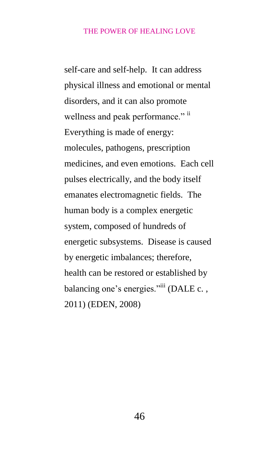self-care and self-help. It can address physical illness and emotional or mental disorders, and it can also promote wellness and peak performance." ii Everything is made of energy: molecules, pathogens, prescription medicines, and even emotions. Each cell pulses electrically, and the body itself emanates electromagnetic fields. The human body is a complex energetic system, composed of hundreds of energetic subsystems. Disease is caused by energetic imbalances; therefore, health can be restored or established by balancing one's energies."<sup>iii</sup> (DALE c., 2011) (EDEN, 2008)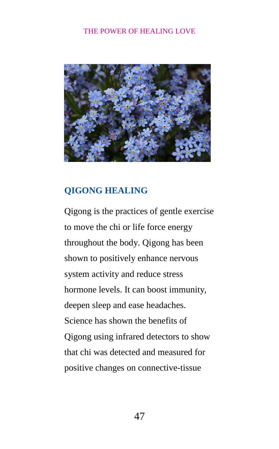

# <span id="page-47-0"></span>**QIGONG HEALING**

Qigong is the practices of gentle exercise to move the chi or life force energy throughout the body. Qigong has been shown to positively enhance nervous system activity and reduce stress hormone levels. It can boost immunity, deepen sleep and ease headaches. Science has shown the benefits of Qigong using infrared detectors to show that chi was detected and measured for positive changes on connective-tissue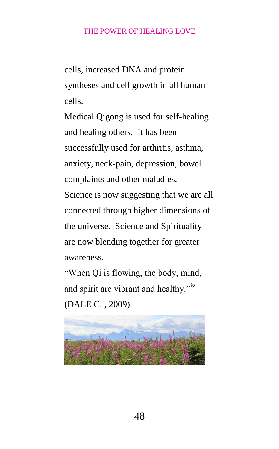cells, increased DNA and protein syntheses and cell growth in all human cells.

Medical Qigong is used for self-healing and healing others. It has been successfully used for arthritis, asthma, anxiety, neck-pain, depression, bowel complaints and other maladies.

Science is now suggesting that we are all connected through higher dimensions of the universe. Science and Spirituality are now blending together for greater awareness.

"When Qi is flowing, the body, mind, and spirit are vibrant and healthy."iv (DALE C. , 2009)

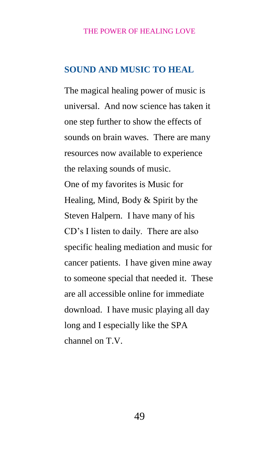## <span id="page-49-0"></span>**SOUND AND MUSIC TO HEAL**

The magical healing power of music is universal. And now science has taken it one step further to show the effects of sounds on brain waves. There are many resources now available to experience the relaxing sounds of music. One of my favorites is Music for Healing, Mind, Body & Spirit by the Steven Halpern. I have many of his CD's I listen to daily. There are also specific healing mediation and music for cancer patients. I have given mine away to someone special that needed it. These are all accessible online for immediate download. I have music playing all day long and I especially like the SPA channel on T.V.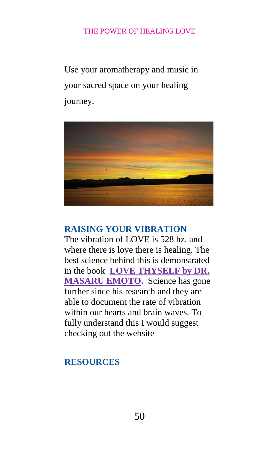Use your aromatherapy and music in your sacred space on your healing journey.



# <span id="page-50-0"></span>**RAISING YOUR VIBRATION**

The vibration of LOVE is 528 hz. and where there is love there is healing. The best science behind this is demonstrated in the book **[LOVE THYSELF by DR.](file:///C:/Users/Nancy/Documents/POWER%20OF%20HEALING%20LOVE/a%20href=%22http:/www.amazon.ca/gp/product/1401908993/ref=as_li_qf_sp_asin_tl%3fie=UTF8&camp=15121&creative=330641&creativeASIN=1401908993&linkCode=as2&tag=hc00-20%22%3eLove%20Thyself:%20The%20Message%20from%20Water%20III%3c/a%3e%3cimg%20src=%22http:/ir-ca.amazon-adsystem.com/e/ir%3ft=hc00-20&l=as2&o=15&a=1401908993%22%20width=%221%22%20height=%221%22%20border=%220%22%20alt=%22%22%20style=%22border:none%20!important;%20margin:0px%20!important;%22%20/)  [MASARU EMOTO.](file:///C:/Users/Nancy/Documents/POWER%20OF%20HEALING%20LOVE/a%20href=%22http:/www.amazon.ca/gp/product/1401908993/ref=as_li_qf_sp_asin_tl%3fie=UTF8&camp=15121&creative=330641&creativeASIN=1401908993&linkCode=as2&tag=hc00-20%22%3eLove%20Thyself:%20The%20Message%20from%20Water%20III%3c/a%3e%3cimg%20src=%22http:/ir-ca.amazon-adsystem.com/e/ir%3ft=hc00-20&l=as2&o=15&a=1401908993%22%20width=%221%22%20height=%221%22%20border=%220%22%20alt=%22%22%20style=%22border:none%20!important;%20margin:0px%20!important;%22%20/)** Science has gone further since his research and they are able to document the rate of vibration within our hearts and brain waves. To fully understand this I would suggest checking out the website

# <span id="page-50-1"></span>**RESOURCES**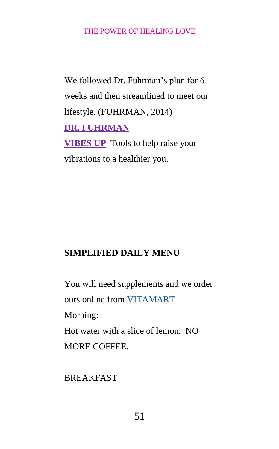We followed Dr. Fuhrman's plan for 6 weeks and then streamlined to meet our lifestyle. (FUHRMAN, 2014) **[DR. FUHRMAN](file:///C:/Users/Nancy/Documents/POWER%20OF%20HEALING%20LOVE/a%20href=%22http:/click.linksynergy.com/fs-bin/click%3fid=wZUA40mrVfc&offerid=254134&type=3&subid=0%22%3eDr.%20Fuhrman%3c/a%3e%3cIMG%20border=0%20width=1%20height=1%20src=%22http:/ad.linksynergy.com/fs-bin/show%3fid=wZUA40mrVfc&bids=254134&type=3&subid=0%22) [VIBES UP](http://vibesup.com/1183.html)** Tools to help raise your vibrations to a healthier you.

# **SIMPLIFIED DAILY MENU**

You will need supplements and we order ours online from [VITAMART](htttp:www.vitamart.ca) Morning: Hot water with a slice of lemon. NO MORE COFFEE.

BREAKFAST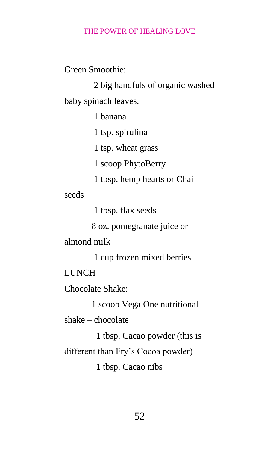Green Smoothie:

2 big handfuls of organic washed baby spinach leaves.

1 banana

1 tsp. spirulina

1 tsp. wheat grass

1 scoop PhytoBerry

1 tbsp. hemp hearts or Chai

seeds

1 tbsp. flax seeds

8 oz. pomegranate juice or

almond milk

1 cup frozen mixed berries

LUNCH

Chocolate Shake:

1 scoop Vega One nutritional

shake – chocolate

1 tbsp. Cacao powder (this is

different than Fry's Cocoa powder)

1 tbsp. Cacao nibs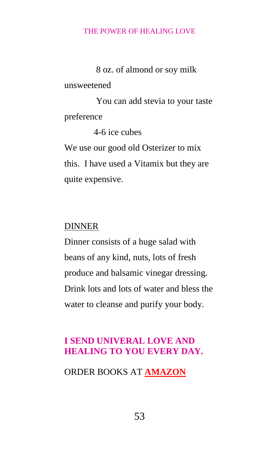8 oz. of almond or soy milk

unsweetened

 You can add stevia to your taste preference

4-6 ice cubes

We use our good old Osterizer to mix this. I have used a Vitamix but they are quite expensive.

## DINNER

Dinner consists of a huge salad with beans of any kind, nuts, lots of fresh produce and balsamic vinegar dressing. Drink lots and lots of water and bless the water to cleanse and purify your body.

## **I SEND UNIVERAL LOVE AND HEALING TO YOU EVERY DAY.**

ORDER BOOKS AT **[AMAZON](http://www.amazon.com/)**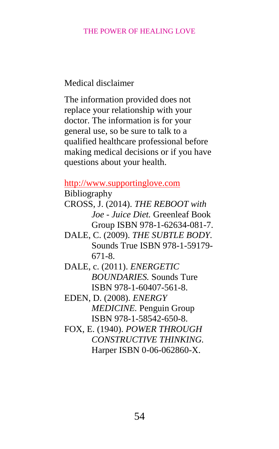<span id="page-54-0"></span>Medical disclaimer

The information provided does not replace your relationship with your doctor. The information is for your general use, so be sure to talk to a qualified healthcare professional before making medical decisions or if you have questions about your health.

## [http://www.supportinglove.com](http://www.supportinglove.com/)

Bibliography

- CROSS, J. (2014). *THE REBOOT with Joe - Juice Diet.* Greenleaf Book Group ISBN 978-1-62634-081-7.
- DALE, C. (2009). *THE SUBTLE BODY.* Sounds True ISBN 978-1-59179- 671-8.
- DALE, c. (2011). *ENERGETIC BOUNDARIES.* Sounds Ture ISBN 978-1-60407-561-8.
- EDEN, D. (2008). *ENERGY MEDICINE.* Penguin Group ISBN 978-1-58542-650-8.
- FOX, E. (1940). *POWER THROUGH CONSTRUCTIVE THINKING.* Harper ISBN 0-06-062860-X.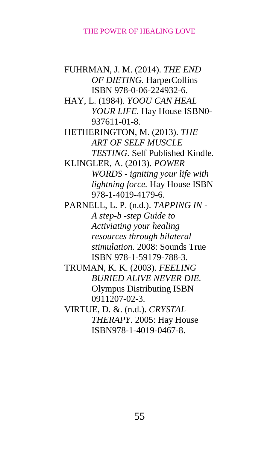FUHRMAN, J. M. (2014). *THE END OF DIETING.* HarperCollins ISBN 978-0-06-224932-6. HAY, L. (1984). *YOOU CAN HEAL YOUR LIFE.* Hay House ISBN0- 937611-01-8. HETHERINGTON, M. (2013). *THE ART OF SELF MUSCLE TESTING.* Self Published Kindle. KLINGLER, A. (2013). *POWER WORDS - igniting your life with lightning force.* Hay House ISBN 978-1-4019-4179-6. PARNELL, L. P. (n.d.). *TAPPING IN - A step-b -step Guide to Activiating your healing resources through bilateral stimulation.* 2008: Sounds True ISBN 978-1-59179-788-3. TRUMAN, K. K. (2003). *FEELING BURIED ALIVE NEVER DIE.* Olympus Distributing ISBN 0911207-02-3. VIRTUE, D. &. (n.d.). *CRYSTAL THERAPY.* 2005: Hay House ISBN978-1-4019-0467-8.